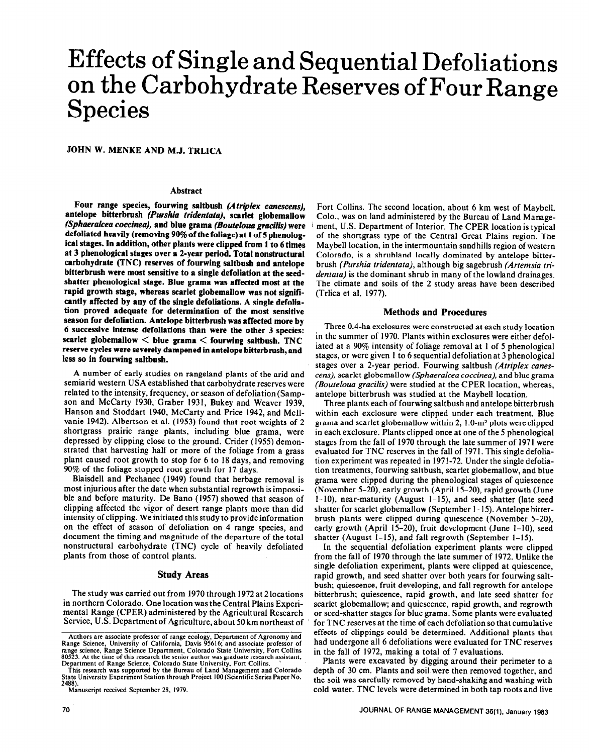# Effects of Single and Sequential Defoliations on the Carbohydrate Reserves of Four Range Species

**JOHN W. MENKE AND M.J. TRLICA** 

#### **Abstract**

**Four range species, fourwing saltbush** *(Atriplex canescens),*  **antelope bitterbrush** *(Purshia tridentata),* **scarlet globemallow**  *(Sphaeralcea coccinea),* **and blue grama** *(Bouteloua gracilis)* **were defoliated heavily (removing** *90%* **of the foliage) at 1 of 5 phenological stages. In addition, other plants were clipped from 1 to 6 times at 3 phenological stages over a 2-year period. Total nonstructural carbohydrate (TNC) reserves of fourwing saltbusb and antelope bitterbrush were most sensitive to a single defoliation at the seedshatter phenological stage. Blue grama was affected most at the rapid growth stage, whereas scarlet globemallow was not significantly affected by any of the single defoliations. A single defoliation proved adequate for determination of the most sensitive season for defoliation. Antelope bitterbrush was affected more by 6 successive intense defoliations than were the other 3 species: scarlet globemallow < blue grama < fourwing saltbush. TNC reserve cycles were severely dampened in antelope bitterbrush, and**  less so in fourwing saltbush.

A number of early studies on rangeland plants of the arid and semiarid western USA established that carbohydrate reserves were related to the intensity, frequency, or season of defoliation (Sampson and McCarty 1930, Graber 1931, Bukey and Weaver 1939, Hanson and Stoddart 1940, McCarty and Price 1942, and Mcllvanie 1942). Albertson et al. (1953) found that root weights of 2 shortgrass prairie range plants, including blue grama, were depressed by clipping close to the ground. Crider (1955) demonstrated that harvesting half or more of the foliage from a grass plant caused root growth to stop for 6 to I8 days, and removing 90% of the foliage stopped root growth for I7 days.

Blaisdell and Pechanec (1949) found that herbage removal is most injurious after the date when substantial regrowth is impossible and before maturity. De Bano (1957) showed that season of clipping affected the vigor of desert range plants more than did intensity of clipping. We initiated this study to provide information on the effect of season of defoliation on 4 range species, and document the timing and magnitude of the departure of the total nonstructural carbohydrate (TNC) cycle of heavily defoliated plants from those of control plants.

#### **Study Areas**

The study was carried out from 1970 through 1972at 2locations in northern Colorado. One location was the Central Plains Experimental Range (CPER) administered by the Agricultural Research Service, U.S. Department of Agriculture, about 50 km northeast of

Fort Collins. The second location, about 6 km west of Maybell, Colo., was on land administered by the Bureau of Land Management, U.S. Department of Interior. The CPER location is typical of the shortgrass type of the Central Great Plains region. The Maybell location, in the intermountain sandhills region of western Colorado, is a shrubland locally dominated by antelope bitterbrush *(Purshia tridentata),* although big sagebrush *(Artemsia tridentata)* is the dominant shrub in many of the lowland drainages. The climate and soils of the 2 study areas have been described (Trlica et al. 1977).

#### **Methods and Procedures**

Three 0.4-ha exclosures were constructed at each study location in the summer of 1970. Plants within exclosures were either defoliated at a 90% intensity of foliage removal at I of 5 phenological stages, or were given I to 6 sequential defoliationat 3 phenological stages over a 2-year period. Fourwing saltbush *(Atriplex canestens),* scarlet globemallow *(Sphaeralcea coccinea),* and blue grama *(Eouteloua gracilis)* were studied at the CPER location, whereas, antelope bitterbrush was studied at the Maybell location.

Three plants each of fourwing saltbush and antelope bitterbrush within each exclosure were clipped under each treatment. Blue grama and scarlet globemallow within 2, I .O-m2 plots were clipped in each exclosure. Plants clipped once at one of the 5 phenological stages from the fall of 1970 through the late summer of 1971 were evaluated for TNC reserves in the fall of 197 I. This single defoliation experiment was repeated in 1971-72. Under the single defoliation treatments, fourwing saltbush, scarlet globemallow, and blue grama were clipped during the phenological stages of quiescence (November 5-20), early growth (April 15-20) rapid growth (June I-IO), near-maturity (August l-15) and seed shatter (late seed shatter for scarlet globemallow (September I-15). Antelope bitterbrush plants were clipped during quiescence (November 5-20), early growth (April l5-20), fruit development (June I-IO), seed shatter (August 1-15), and fall regrowth (September 1-15).

In the sequential defoliation experiment plants were clipped from the fall of 1970 through the fate summer of 1972. Unlike the single defoliation experiment, plants were clipped at quiescence, rapid growth, and seed shatter over both years for fourwing saltbush; quiescence, fruit developing, and fall regrowth for antelope bitterbrush; quiescence, rapid growth, and late seed shatter for scarlet globemallow; and quiescence, rapid growth, and regrowth or seed-shatter stages for blue grama. Some plants were evaluated for TNC reserves at the time of each defoliation so that cumulative effects of clippings could be determined. Additional plants that had undergone all 6 defoliations were evaluated for TNC reserves in the fall of 1972, making a total of 7 evaluations.

Plants were excavated by digging around their perimeter to a depth of 30 cm. Plants and soil were then removed together, and the soil was carefully removed by hand-shaking and washing with cold water. TNC levels were determined in both tap roots and live

Pange Science, University of California, Davis 95616; and associate professor of<br>range science, University of California, Davis 95616; and associate professor of<br>range science, Range Science Department, Colorado State Univ

**This research was supported by the Bureau of Land Management and Colorado State University Experiment Station through Project 100 (Scientific Series Paper No.** 

**<sup>2488).</sup>  Manuscript received September 28, 1979.**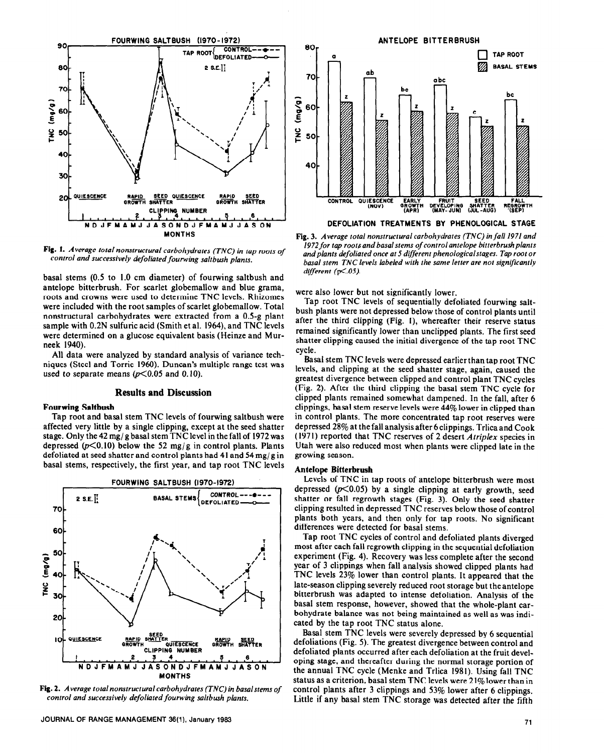

Fig. 1. Average total nonstructural carbohydrates (TNC) in tap roots of control and *successively defoliated fourwing saltbush plants.* 

basal stems (0.5 to I.0 cm diameter) of fourwing saltbush and antelope bitterbrush. For scarlet globemallow and blue grama, roots and crowns were used to determine TNC levels. Rhizomes were included with the root samples of scarlet globemallow. Total nonstructural carbohydrates were extracted from a 0.5-g plant sample with 0.2N sulfuric acid (Smith et al. 1964), and TNC levels were determined on a glucose equivalent basis (Heinze and Murneek 1940).

All data were analyzed by standard analysis of variance techniques (Steel and Torrie 1960). Duncan's multiple range test was used to separate means  $(p<0.05$  and 0.10).

#### **Results and Discussion**

#### **Fourwing Saltbush**

Tap root and basal stem TNC levels of fourwing saltbush were affected very little by a single clipping, except at the seed shatter stage. Only the 42 mg/ g basal stem TNC level in the fall of 1972 was depressed ( $p<0.10$ ) below the 52 mg/g in control plants. Plants defoliated at seed shatter and control plants had 41 and 54 mg/g in basal stems, respectively, the first year, and tap root TNC levels



**Fig. 2.** *Average total nonstructural carbohydrates (TNC) in basalstems of control and successively defoliated fourwing saltbush plants.* 



**Fig. 3.** *Average total nonstructural carbohydrates (TNC) in fail 1971 and*  1972 for tap roots and basal stems of control antelope bitterbrush plants *and plants defoliated once at 5 different phenologicalstages. Tap root or basal stem TNC levels labeled with the same letter are not significantly different (p<.OJ).* 

were also lower but not significantly lower.

Tap root TNC levels of sequentially defoliated fourwing saltbush plants were not depressed below those of control plants until after the third clipping (Fig. I), whereafter their reserve status remained significantly lower than unclipped plants. The first seed shatter clipping caused the initial divergence of the tap root TNC cycle.

Basal stem TNC levels were depressed earlierthan tap root TNC levels, and clipping at the seed shatter stage, again, caused the greatest divergence between clipped and control plant TNC cycles (Fig. 2). After the third clipping the basal stem TNC cycle for clipped plants remained somewhat dampened. In the fall, after 6 clippings, basal stem reserve levels were 44% lower in clipped than in control plants. The more concentrated tap root reserves were depressed 28% at the fall analysis after 6 clippings. Trlica and Cook ( 197 I) reported that TNC reserves of 2 desert *Atriplex* species in Utah were also reduced most when plants were clipped late in the growing season.

#### **Antelope Bitterbrush**

**Levels** of TNC in tap roots of antelope bitterbrush were most depressed  $(p<0.05)$  by a single clipping at early growth, seed shatter or fall regrowth stages (Fig. 3). Only the seed shatter clipping resulted in depressed TNC reserves below those of control plants both years, and then only for tap roots. No significant differences were detected for basal stems.

Tap root TNC cycles of control and defoliated plants diverged most after each fall regrowth clipping in the sequential defoliation experiment (Fig. 4). Recovery was less complete after the second year of 3 clippings when fall analysis showed clipped plants had TNC levels 23% lower than control plants. It appeared that the late-season clipping severely reduced root storage but the antelope bitterbrush was adapted to intense defoliation. Analysis of the basal stem response, however, showed that the whole-plant carbohydrate balance was not being maintained as well as was indicated by the tap root TNC status alone.

Basal stem TNC levels were severely depressed by 6 sequential defoliations (Fig. 5). The greatest divergence between control and defoliated plants occurred after each defoliation at the fruit developing stage, and thereafter during the normal storage portion of the annual TNC cycle (Menke and Trlica 1981). Using fall TNC status as a criterion, basal stem TNC levels were 2 1% lower than in control plants after 3 clippings and 53% lower after 6 clippings. Little if any basal stem TNC storage was detected after the fifth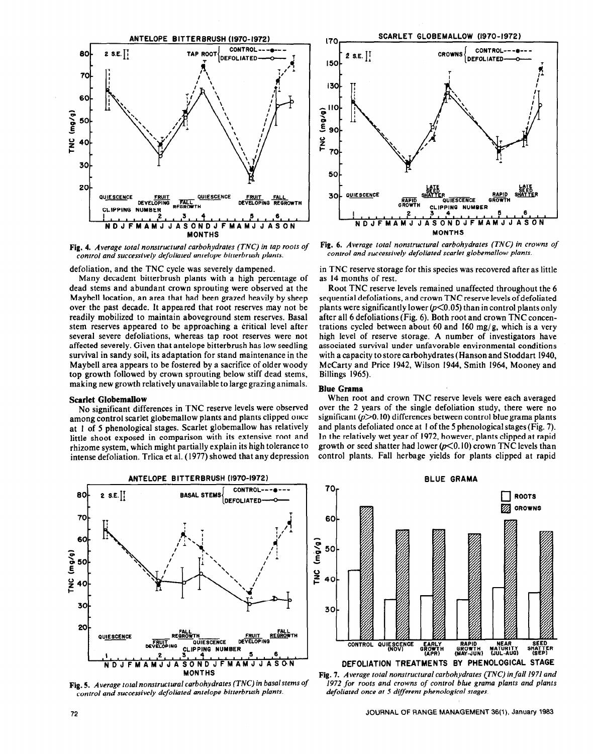

Fig. 4. *Average total nonstructural carbohydrates (TNC) in tap roots of control and successively defoliated antelope bitterbrush plants.* 

defoliation, and the TNC cycle was severely dampened.

Many decadent bitterbrush plants with a high percentage of dead stems and abundant crown sprouting were observed at the Maybe11 location, an area that had been grazed heavily by sheep over the past decade. It appeared that root reserves may not be readily mobilized to maintain aboveground stem reserves, Basal stem reserves appeared to be approaching a critical level after several severe defoliations, whereas tap root reserves were not affected severely. Given that antelope bitterbrush has low seedling survival in sandy soil, its adaptation for stand maintenance in the Maybe11 area appears to be fostered by a sacrifice of older woody top growth followed by crown sprouting below stiff dead stems, making new growth relatively unavailable to large grazing animals.

#### **Scarlet Globemallow**

**No** significant differences in TNC reserve levels were observed among control scarlet globemallow plants and plants clipped once at 1 of 5 phenological stages. Scarlet globemallow has relatively little shoot exposed in comparison with its extensive root and rhizome system, which might partially explain its high tolerance to intense defoliation. Trlica et al. (1977) showed that any depression



*Fig. 3. Average total nonstructural carbohydrates (Th'C) in basalstems of 1972 for roots* and crowns *of control blue* groma plants *and plants*  control and successively defoliated antelope bitterbrush plants.



Fig. 6. *Average total nonstructural carbohydrates (TNC) in crowns of control and successively defoliated scarlet globemallow plants.* 

in TNC reserve storage for this species was recovered after as little as 14 months of rest.

Root TNC reserve levels remained unaffected throughout the 6 sequential defoliations, and crown TNC reserve levels of defoliated plants were significantly lower  $(p<0.05)$  than in control plants only after all 6 defoliations (Fig. 6). Both root and crown TNC concentrations cycled between about 60 and 160 mg/g, which is a very high level of reserve storage. A number of investigators have associated survival under unfavorable environmental conditions with a capacity to store carbohydrates (Hanson and Stoddart 1940, McCarty and Price 1942, Wilson 1944, Smith 1964, Mooney and Billings 1965).

#### **Blue Grama**

When root and crown TNC reserve levels were each averaged over the 2 years of the single defoliation study, there were no significant  $(p>0.10)$  differences between control blue grama plants and plants defoliated once at 1 of the 5 phenological stages (Fig. 7). In the relatively wet year of 1972, however, plants clipped at rapid growth or seed shatter had lower  $(p<0.10)$  crown TNC levels than control plants. Fall herbage yields for plants clipped at rapid

**BLUE GRAMA** 



**MONTHS** Fig. 7. *Average total nonstructural carbohydrates CTNC) in fall 1971 and*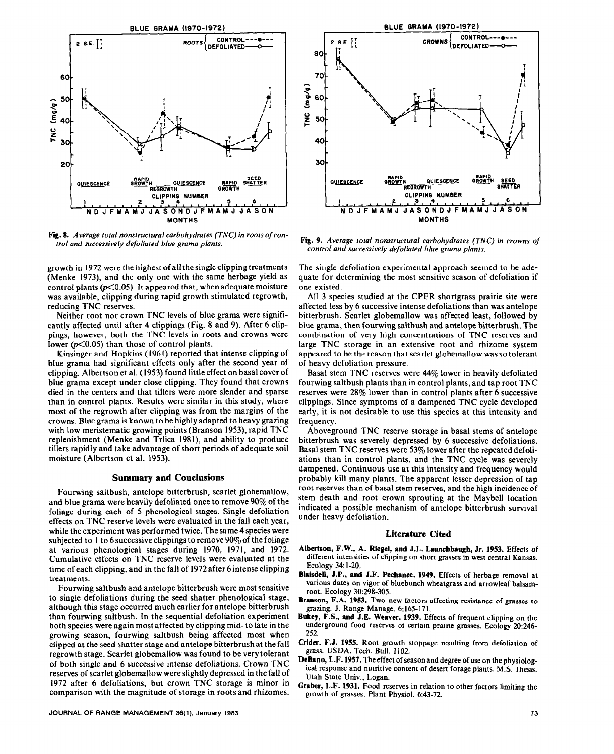

Fig. 8. *Average total nonsrructural carbohydrates (TNC) in roots of control and successively defoliated blue grama plants.* 

growth in *1972 were* the highest of all the single clipping treatments (Menke 1973), and the only one with the same herbage yield as control plants  $(p<0.05)$ . It appeared that, when adequate moisture was available, clipping during rapid growth stimulated regrowth, reducing TNC reserves.

Neither root nor crown TNC levels of blue grama were significantly affected until after 4 clippings (Fig. 8 and 9). After 6 clippings, however, both the TNC levels in roots and crowns were lower  $(p<0.05)$  than those of control plants.

Kinsinger and Hopkins (1961) reported that intense clipping of blue grama had significant effects only after the second year of clipping. Albertson et al. (1953) found little effect on basal cover of blue grama except under close clipping. They found that crowns died in the centers and that tillers were more slender and sparse than in control plants. Results were similar in this study, where most of the regrowth after clipping was from the margins of the crowns. Blue grama is known to be highly adapted to heavy grazing with low meristematic growing points (Branson 1953), rapid TNC replenishment (Menke and Trlica 1981), and ability to produce tillers rapidly and take advantage of short periods of adequate soil moisture (Albertson et al. 1953).

#### **Summary and Conclusions**

Fourwing saltbush, antelope bitterbrush, scarlet globemallow, and blue grama were heavily defoliated once to remove 90% of the foliage during each of 5 phenological stages. Single defoliation effects on TNC reserve levels were evaluated in the fall each year, while the experiment was performed twice. The same 4 species were subjected to 1 to 6 successive clippings to remove  $90\%$  of the foliage at various phenological stages during 1970, 1971, and 1972. Cumulative effects on TNC reserve levels were evaluated at the time of each clipping, and in the fall of 1972 after 6 intense clipping treatments.

Fourwing saltbush and antelope bitterbrush were most sensitive to single defoliations during the seed shatter phenological stage, although this stage occurred much earlier for antelope bitterbrush than fourwing saltbush. In the sequential defoliation experiment both species were again most affected by clipping mid- to late in the growing season, fourwing saltbush being affected most when clipped at the seed shatter stage and antelope bitterbrush at the fall regrowth stage. Scarlet globemallow was found to be very tolerant of both single and 6 successive intense defoliations. Crown TNC reserves of scarlet globemallow were slightly depressed in the fall of 1972 after 6 defoliations, but crown TNC storage is minor in comparison with the magnitude of storage in roots and rhizomes.



**Fig. 9.** *Average total nonstructural carbohydrates (TNC) in crowns of control and successively defoliated blue grama plants.* 

The single defoliation experimental approach seemed to be adequate for determining the most sensitive season of defoliation if one existed.

All 3 species studied at the CPER shortgrass prairie site were affected less by 6 successive intense defoliations than was antelope bitterbrush. Scarlet globemallow was affected least, followed by blue grama, then fourwing saltbush and antelope bitterbrush. The combination of very high concentrations of TNC reserves and large TNC storage in an extensive root and rhizome system appeared to be the reason that scarlet globemallow was so tolerant of heavy defoliation pressure.

Basal stem TNC reserves were 44% lower in heavily defoliated fourwing saltbush plants than in control plants, and tap root TNC reserves were 28% lower than in control plants after 6 successive clippings. Since symptoms of a dampened TNC cycle developed early, it is not desirable to use this species at this intensity and frequency.

Aboveground TNC reserve storage in basal stems of antelope bitterbrush was severely depressed by 6 successive defoliations. Basal stem TNC reserves were 53% lower after the repeated defoliations than in control plants, and the TNC cycle was severely dampened. Continuous use at this intensity and frequency would probably kill many plants. The apparent lesser depression of tap root reserves than of basal stem reserves, and the high incidence of stem death and root crown sprouting at the Maybe11 location indicated a possible mechanism of antelope bitterbrush survival under heavy defoliation.

#### **Literature Cited**

- **Albertson, F.W., A. Riegel, and J.L. Launchbaugb, Jr. 1953.** Effects of different intensities of clipping on short grasses in west central Kansas. Ecology 34: l-20.
- Blaisdell, J.P., and J.F. Pechanec. 1949. Effects of herbage removal at various dates on vigor of bluebunch wheatgrass and arrowleaf balsamroot. Ecology 30:298-305.
- **Branson,** F.A. 1953. Two new factors affecting resistance of grasses to grazing. J. Range Manage, 6: I65- 17 1.
- **Bukey, F.S., and** J.E. **Weaver. 1939.** Effects of frequent clipping on the underground food reserves of certain prairie grasses. Ecology 20:246- **252.**
- **Crider,** F.J. 1955. Root growth stoppage resulting from defoliation of grass. USDA. Tech. Bull. 1102.
- DeBano, L.F. 1957. The effect of season and degree of use on the physiological response and nutritive content of desert forage plants. M.S. Thesis. Utah State Univ., Logan.
- Graber, L.F. 1931. Food reserves in relation to other factors limiting the growth of grasses. Plant Physiol. 6:43-72.